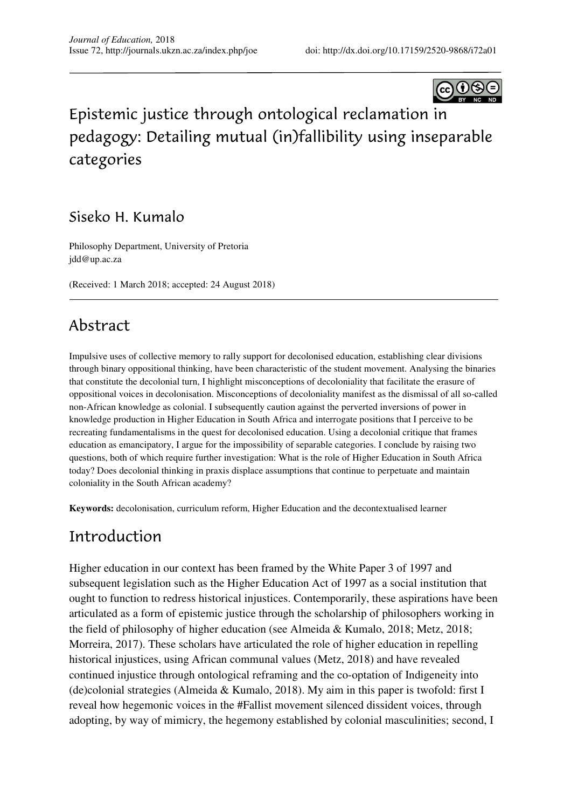

# Epistemic justice through ontological reclamation in pedagogy: Detailing mutual (in)fallibility using inseparable categories

### Siseko H. Kumalo

Philosophy Department, University of Pretoria jdd@up.ac.za

(Received: 1 March 2018; accepted: 24 August 2018)

# Abstract

Impulsive uses of collective memory to rally support for decolonised education, establishing clear divisions through binary oppositional thinking, have been characteristic of the student movement. Analysing the binaries that constitute the decolonial turn, I highlight misconceptions of decoloniality that facilitate the erasure of oppositional voices in decolonisation. Misconceptions of decoloniality manifest as the dismissal of all so-called non-African knowledge as colonial. I subsequently caution against the perverted inversions of power in knowledge production in Higher Education in South Africa and interrogate positions that I perceive to be recreating fundamentalisms in the quest for decolonised education. Using a decolonial critique that frames education as emancipatory, I argue for the impossibility of separable categories. I conclude by raising two questions, both of which require further investigation: What is the role of Higher Education in South Africa today? Does decolonial thinking in praxis displace assumptions that continue to perpetuate and maintain coloniality in the South African academy?

**Keywords:** decolonisation, curriculum reform, Higher Education and the decontextualised learner

## Introduction

Higher education in our context has been framed by the White Paper 3 of 1997 and subsequent legislation such as the Higher Education Act of 1997 as a social institution that ought to function to redress historical injustices. Contemporarily, these aspirations have been articulated as a form of epistemic justice through the scholarship of philosophers working in the field of philosophy of higher education (see Almeida & Kumalo, 2018; Metz, 2018; Morreira, 2017). These scholars have articulated the role of higher education in repelling historical injustices, using African communal values (Metz, 2018) and have revealed continued injustice through ontological reframing and the co-optation of Indigeneity into (de)colonial strategies (Almeida & Kumalo, 2018). My aim in this paper is twofold: first I reveal how hegemonic voices in the #Fallist movement silenced dissident voices, through adopting, by way of mimicry, the hegemony established by colonial masculinities; second, I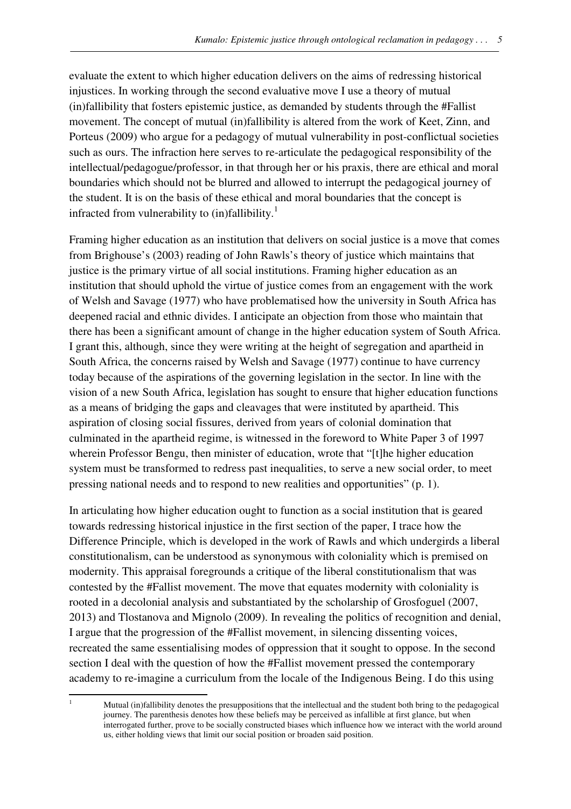evaluate the extent to which higher education delivers on the aims of redressing historical injustices. In working through the second evaluative move I use a theory of mutual (in)fallibility that fosters epistemic justice, as demanded by students through the #Fallist movement. The concept of mutual (in)fallibility is altered from the work of Keet, Zinn, and Porteus (2009) who argue for a pedagogy of mutual vulnerability in post-conflictual societies such as ours. The infraction here serves to re-articulate the pedagogical responsibility of the intellectual/pedagogue/professor, in that through her or his praxis, there are ethical and moral boundaries which should not be blurred and allowed to interrupt the pedagogical journey of the student. It is on the basis of these ethical and moral boundaries that the concept is infracted from vulnerability to (in)fallibility.<sup>1</sup>

Framing higher education as an institution that delivers on social justice is a move that comes from Brighouse's (2003) reading of John Rawls's theory of justice which maintains that justice is the primary virtue of all social institutions. Framing higher education as an institution that should uphold the virtue of justice comes from an engagement with the work of Welsh and Savage (1977) who have problematised how the university in South Africa has deepened racial and ethnic divides. I anticipate an objection from those who maintain that there has been a significant amount of change in the higher education system of South Africa. I grant this, although, since they were writing at the height of segregation and apartheid in South Africa, the concerns raised by Welsh and Savage (1977) continue to have currency today because of the aspirations of the governing legislation in the sector. In line with the vision of a new South Africa, legislation has sought to ensure that higher education functions as a means of bridging the gaps and cleavages that were instituted by apartheid. This aspiration of closing social fissures, derived from years of colonial domination that culminated in the apartheid regime, is witnessed in the foreword to White Paper 3 of 1997 wherein Professor Bengu, then minister of education, wrote that "[t]he higher education system must be transformed to redress past inequalities, to serve a new social order, to meet pressing national needs and to respond to new realities and opportunities" (p. 1).

In articulating how higher education ought to function as a social institution that is geared towards redressing historical injustice in the first section of the paper, I trace how the Difference Principle, which is developed in the work of Rawls and which undergirds a liberal constitutionalism, can be understood as synonymous with coloniality which is premised on modernity. This appraisal foregrounds a critique of the liberal constitutionalism that was contested by the #Fallist movement. The move that equates modernity with coloniality is rooted in a decolonial analysis and substantiated by the scholarship of Grosfoguel (2007, 2013) and Tlostanova and Mignolo (2009). In revealing the politics of recognition and denial, I argue that the progression of the #Fallist movement, in silencing dissenting voices, recreated the same essentialising modes of oppression that it sought to oppose. In the second section I deal with the question of how the #Fallist movement pressed the contemporary academy to re-imagine a curriculum from the locale of the Indigenous Being. I do this using

l

<sup>1</sup>Mutual (in)fallibility denotes the presuppositions that the intellectual and the student both bring to the pedagogical journey. The parenthesis denotes how these beliefs may be perceived as infallible at first glance, but when interrogated further, prove to be socially constructed biases which influence how we interact with the world around us, either holding views that limit our social position or broaden said position.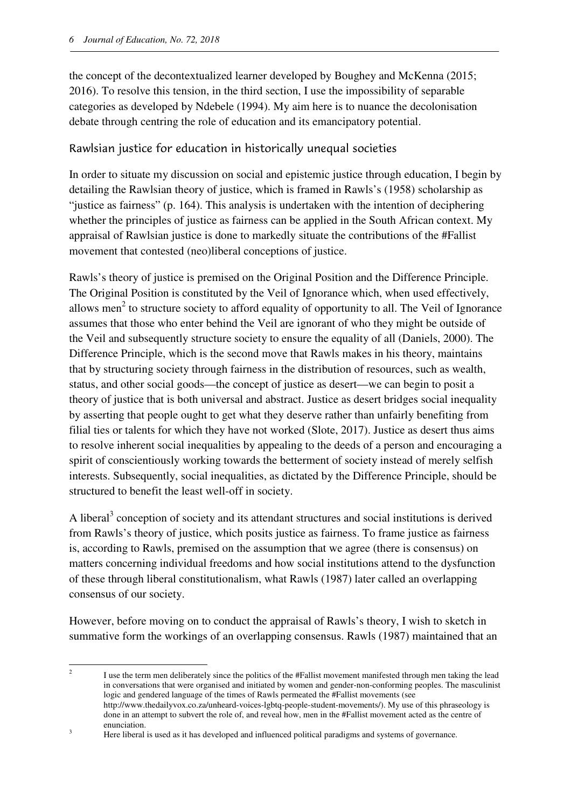$\overline{a}$ 

the concept of the decontextualized learner developed by Boughey and McKenna (2015; 2016). To resolve this tension, in the third section, I use the impossibility of separable categories as developed by Ndebele (1994). My aim here is to nuance the decolonisation debate through centring the role of education and its emancipatory potential.

#### Rawlsian justice for education in historically unequal societies

In order to situate my discussion on social and epistemic justice through education, I begin by detailing the Rawlsian theory of justice, which is framed in Rawls's (1958) scholarship as "justice as fairness" (p. 164). This analysis is undertaken with the intention of deciphering whether the principles of justice as fairness can be applied in the South African context. My appraisal of Rawlsian justice is done to markedly situate the contributions of the #Fallist movement that contested (neo)liberal conceptions of justice.

Rawls's theory of justice is premised on the Original Position and the Difference Principle. The Original Position is constituted by the Veil of Ignorance which, when used effectively, allows men<sup>2</sup> to structure society to afford equality of opportunity to all. The Veil of Ignorance assumes that those who enter behind the Veil are ignorant of who they might be outside of the Veil and subsequently structure society to ensure the equality of all (Daniels, 2000). The Difference Principle, which is the second move that Rawls makes in his theory, maintains that by structuring society through fairness in the distribution of resources, such as wealth, status, and other social goods—the concept of justice as desert—we can begin to posit a theory of justice that is both universal and abstract. Justice as desert bridges social inequality by asserting that people ought to get what they deserve rather than unfairly benefiting from filial ties or talents for which they have not worked (Slote, 2017). Justice as desert thus aims to resolve inherent social inequalities by appealing to the deeds of a person and encouraging a spirit of conscientiously working towards the betterment of society instead of merely selfish interests. Subsequently, social inequalities, as dictated by the Difference Principle, should be structured to benefit the least well-off in society.

A liberal<sup>3</sup> conception of society and its attendant structures and social institutions is derived from Rawls's theory of justice, which posits justice as fairness. To frame justice as fairness is, according to Rawls, premised on the assumption that we agree (there is consensus) on matters concerning individual freedoms and how social institutions attend to the dysfunction of these through liberal constitutionalism, what Rawls (1987) later called an overlapping consensus of our society.

However, before moving on to conduct the appraisal of Rawls's theory, I wish to sketch in summative form the workings of an overlapping consensus. Rawls (1987) maintained that an

<sup>&</sup>lt;sup>2</sup> I use the term men deliberately since the politics of the #Fallist movement manifested through men taking the lead in conversations that were organised and initiated by women and gender-non-conforming peoples. The masculinist logic and gendered language of the times of Rawls permeated the #Fallist movements (see http://www.thedailyvox.co.za/unheard-voices-lgbtq-people-student-movements/). My use of this phraseology is done in an attempt to subvert the role of, and reveal how, men in the #Fallist movement acted as the centre of enunciation.

<sup>&</sup>lt;sup>3</sup> Here liberal is used as it has developed and influenced political paradigms and systems of governance.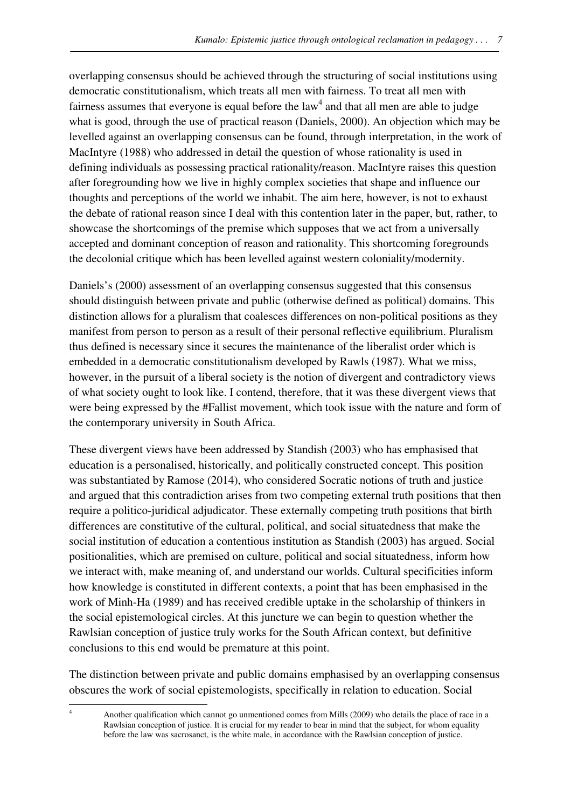overlapping consensus should be achieved through the structuring of social institutions using democratic constitutionalism, which treats all men with fairness. To treat all men with fairness assumes that everyone is equal before the  $law<sup>4</sup>$  and that all men are able to judge what is good, through the use of practical reason (Daniels, 2000). An objection which may be levelled against an overlapping consensus can be found, through interpretation, in the work of MacIntyre (1988) who addressed in detail the question of whose rationality is used in defining individuals as possessing practical rationality/reason. MacIntyre raises this question after foregrounding how we live in highly complex societies that shape and influence our thoughts and perceptions of the world we inhabit. The aim here, however, is not to exhaust the debate of rational reason since I deal with this contention later in the paper, but, rather, to showcase the shortcomings of the premise which supposes that we act from a universally accepted and dominant conception of reason and rationality. This shortcoming foregrounds the decolonial critique which has been levelled against western coloniality/modernity.

Daniels's (2000) assessment of an overlapping consensus suggested that this consensus should distinguish between private and public (otherwise defined as political) domains. This distinction allows for a pluralism that coalesces differences on non-political positions as they manifest from person to person as a result of their personal reflective equilibrium. Pluralism thus defined is necessary since it secures the maintenance of the liberalist order which is embedded in a democratic constitutionalism developed by Rawls (1987). What we miss, however, in the pursuit of a liberal society is the notion of divergent and contradictory views of what society ought to look like. I contend, therefore, that it was these divergent views that were being expressed by the #Fallist movement, which took issue with the nature and form of the contemporary university in South Africa.

These divergent views have been addressed by Standish (2003) who has emphasised that education is a personalised, historically, and politically constructed concept. This position was substantiated by Ramose (2014), who considered Socratic notions of truth and justice and argued that this contradiction arises from two competing external truth positions that then require a politico-juridical adjudicator. These externally competing truth positions that birth differences are constitutive of the cultural, political, and social situatedness that make the social institution of education a contentious institution as Standish (2003) has argued. Social positionalities, which are premised on culture, political and social situatedness, inform how we interact with, make meaning of, and understand our worlds. Cultural specificities inform how knowledge is constituted in different contexts, a point that has been emphasised in the work of Minh-Ha (1989) and has received credible uptake in the scholarship of thinkers in the social epistemological circles. At this juncture we can begin to question whether the Rawlsian conception of justice truly works for the South African context, but definitive conclusions to this end would be premature at this point.

The distinction between private and public domains emphasised by an overlapping consensus obscures the work of social epistemologists, specifically in relation to education. Social l

<sup>4</sup>Another qualification which cannot go unmentioned comes from Mills (2009) who details the place of race in a Rawlsian conception of justice. It is crucial for my reader to bear in mind that the subject, for whom equality before the law was sacrosanct, is the white male, in accordance with the Rawlsian conception of justice.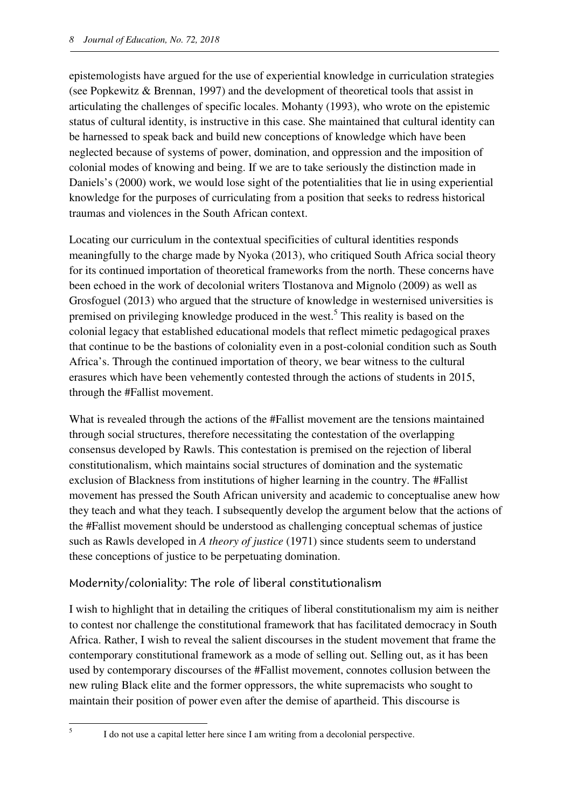epistemologists have argued for the use of experiential knowledge in curriculation strategies (see Popkewitz & Brennan, 1997) and the development of theoretical tools that assist in articulating the challenges of specific locales. Mohanty (1993), who wrote on the epistemic status of cultural identity, is instructive in this case. She maintained that cultural identity can be harnessed to speak back and build new conceptions of knowledge which have been neglected because of systems of power, domination, and oppression and the imposition of colonial modes of knowing and being. If we are to take seriously the distinction made in Daniels's (2000) work, we would lose sight of the potentialities that lie in using experiential knowledge for the purposes of curriculating from a position that seeks to redress historical traumas and violences in the South African context.

Locating our curriculum in the contextual specificities of cultural identities responds meaningfully to the charge made by Nyoka (2013), who critiqued South Africa social theory for its continued importation of theoretical frameworks from the north. These concerns have been echoed in the work of decolonial writers Tlostanova and Mignolo (2009) as well as Grosfoguel (2013) who argued that the structure of knowledge in westernised universities is premised on privileging knowledge produced in the west.<sup>5</sup> This reality is based on the colonial legacy that established educational models that reflect mimetic pedagogical praxes that continue to be the bastions of coloniality even in a post-colonial condition such as South Africa's. Through the continued importation of theory, we bear witness to the cultural erasures which have been vehemently contested through the actions of students in 2015, through the #Fallist movement.

What is revealed through the actions of the #Fallist movement are the tensions maintained through social structures, therefore necessitating the contestation of the overlapping consensus developed by Rawls. This contestation is premised on the rejection of liberal constitutionalism, which maintains social structures of domination and the systematic exclusion of Blackness from institutions of higher learning in the country. The #Fallist movement has pressed the South African university and academic to conceptualise anew how they teach and what they teach. I subsequently develop the argument below that the actions of the #Fallist movement should be understood as challenging conceptual schemas of justice such as Rawls developed in *A theory of justice* (1971) since students seem to understand these conceptions of justice to be perpetuating domination.

#### Modernity/coloniality: The role of liberal constitutionalism

I wish to highlight that in detailing the critiques of liberal constitutionalism my aim is neither to contest nor challenge the constitutional framework that has facilitated democracy in South Africa. Rather, I wish to reveal the salient discourses in the student movement that frame the contemporary constitutional framework as a mode of selling out. Selling out, as it has been used by contemporary discourses of the #Fallist movement, connotes collusion between the new ruling Black elite and the former oppressors, the white supremacists who sought to maintain their position of power even after the demise of apartheid. This discourse is

l 5

I do not use a capital letter here since I am writing from a decolonial perspective.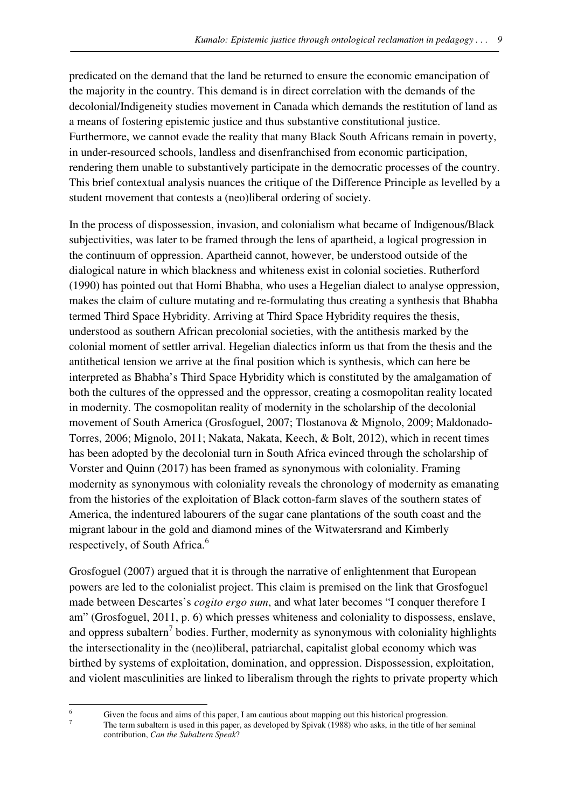predicated on the demand that the land be returned to ensure the economic emancipation of the majority in the country. This demand is in direct correlation with the demands of the decolonial/Indigeneity studies movement in Canada which demands the restitution of land as a means of fostering epistemic justice and thus substantive constitutional justice. Furthermore, we cannot evade the reality that many Black South Africans remain in poverty, in under-resourced schools, landless and disenfranchised from economic participation, rendering them unable to substantively participate in the democratic processes of the country. This brief contextual analysis nuances the critique of the Difference Principle as levelled by a student movement that contests a (neo)liberal ordering of society.

In the process of dispossession, invasion, and colonialism what became of Indigenous/Black subjectivities, was later to be framed through the lens of apartheid, a logical progression in the continuum of oppression. Apartheid cannot, however, be understood outside of the dialogical nature in which blackness and whiteness exist in colonial societies. Rutherford (1990) has pointed out that Homi Bhabha, who uses a Hegelian dialect to analyse oppression, makes the claim of culture mutating and re-formulating thus creating a synthesis that Bhabha termed Third Space Hybridity. Arriving at Third Space Hybridity requires the thesis, understood as southern African precolonial societies, with the antithesis marked by the colonial moment of settler arrival. Hegelian dialectics inform us that from the thesis and the antithetical tension we arrive at the final position which is synthesis, which can here be interpreted as Bhabha's Third Space Hybridity which is constituted by the amalgamation of both the cultures of the oppressed and the oppressor, creating a cosmopolitan reality located in modernity. The cosmopolitan reality of modernity in the scholarship of the decolonial movement of South America (Grosfoguel, 2007; Tlostanova & Mignolo, 2009; Maldonado-Torres, 2006; Mignolo, 2011; Nakata, Nakata, Keech, & Bolt, 2012), which in recent times has been adopted by the decolonial turn in South Africa evinced through the scholarship of Vorster and Quinn (2017) has been framed as synonymous with coloniality. Framing modernity as synonymous with coloniality reveals the chronology of modernity as emanating from the histories of the exploitation of Black cotton-farm slaves of the southern states of America, the indentured labourers of the sugar cane plantations of the south coast and the migrant labour in the gold and diamond mines of the Witwatersrand and Kimberly respectively, of South Africa.<sup>6</sup>

Grosfoguel (2007) argued that it is through the narrative of enlightenment that European powers are led to the colonialist project. This claim is premised on the link that Grosfoguel made between Descartes's *cogito ergo sum*, and what later becomes "I conquer therefore I am" (Grosfoguel, 2011, p. 6) which presses whiteness and coloniality to dispossess, enslave, and oppress subaltern<sup>7</sup> bodies. Further, modernity as synonymous with coloniality highlights the intersectionality in the (neo)liberal, patriarchal, capitalist global economy which was birthed by systems of exploitation, domination, and oppression. Dispossession, exploitation, and violent masculinities are linked to liberalism through the rights to private property which

l 6 7

Given the focus and aims of this paper, I am cautious about mapping out this historical progression.

The term subaltern is used in this paper, as developed by Spivak (1988) who asks, in the title of her seminal contribution, *Can the Subaltern Speak*?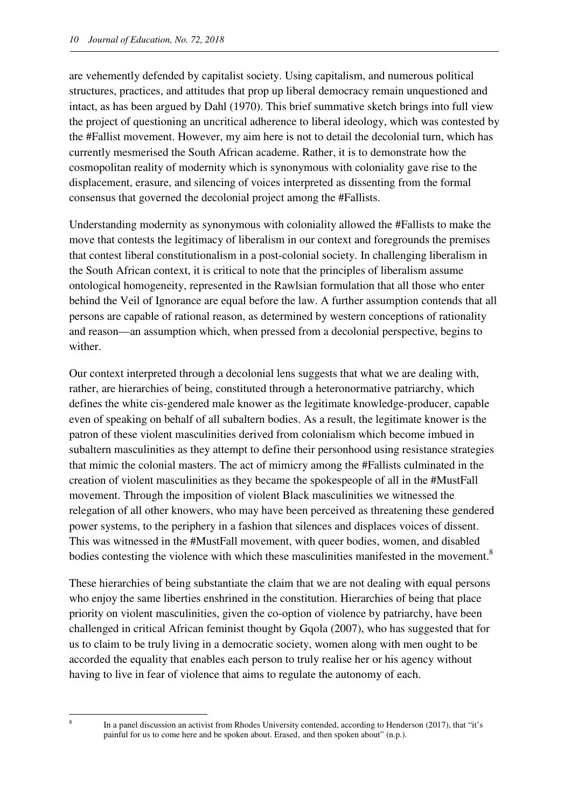are vehemently defended by capitalist society. Using capitalism, and numerous political structures, practices, and attitudes that prop up liberal democracy remain unquestioned and intact, as has been argued by Dahl (1970). This brief summative sketch brings into full view the project of questioning an uncritical adherence to liberal ideology, which was contested by the #Fallist movement. However, my aim here is not to detail the decolonial turn, which has currently mesmerised the South African academe. Rather, it is to demonstrate how the cosmopolitan reality of modernity which is synonymous with coloniality gave rise to the displacement, erasure, and silencing of voices interpreted as dissenting from the formal consensus that governed the decolonial project among the #Fallists.

Understanding modernity as synonymous with coloniality allowed the #Fallists to make the move that contests the legitimacy of liberalism in our context and foregrounds the premises that contest liberal constitutionalism in a post-colonial society. In challenging liberalism in the South African context, it is critical to note that the principles of liberalism assume ontological homogeneity, represented in the Rawlsian formulation that all those who enter behind the Veil of Ignorance are equal before the law. A further assumption contends that all persons are capable of rational reason, as determined by western conceptions of rationality and reason—an assumption which, when pressed from a decolonial perspective, begins to wither

Our context interpreted through a decolonial lens suggests that what we are dealing with, rather, are hierarchies of being, constituted through a heteronormative patriarchy, which defines the white cis-gendered male knower as the legitimate knowledge-producer, capable even of speaking on behalf of all subaltern bodies. As a result, the legitimate knower is the patron of these violent masculinities derived from colonialism which become imbued in subaltern masculinities as they attempt to define their personhood using resistance strategies that mimic the colonial masters. The act of mimicry among the #Fallists culminated in the creation of violent masculinities as they became the spokespeople of all in the #MustFall movement. Through the imposition of violent Black masculinities we witnessed the relegation of all other knowers, who may have been perceived as threatening these gendered power systems, to the periphery in a fashion that silences and displaces voices of dissent. This was witnessed in the #MustFall movement, with queer bodies, women, and disabled bodies contesting the violence with which these masculinities manifested in the movement. $8$ 

These hierarchies of being substantiate the claim that we are not dealing with equal persons who enjoy the same liberties enshrined in the constitution. Hierarchies of being that place priority on violent masculinities, given the co-option of violence by patriarchy, have been challenged in critical African feminist thought by Gqola (2007), who has suggested that for us to claim to be truly living in a democratic society, women along with men ought to be accorded the equality that enables each person to truly realise her or his agency without having to live in fear of violence that aims to regulate the autonomy of each.

 $\overline{a}$ 8

In a panel discussion an activist from Rhodes University contended, according to Henderson (2017), that "it's painful for us to come here and be spoken about. Erased, and then spoken about" (n.p.).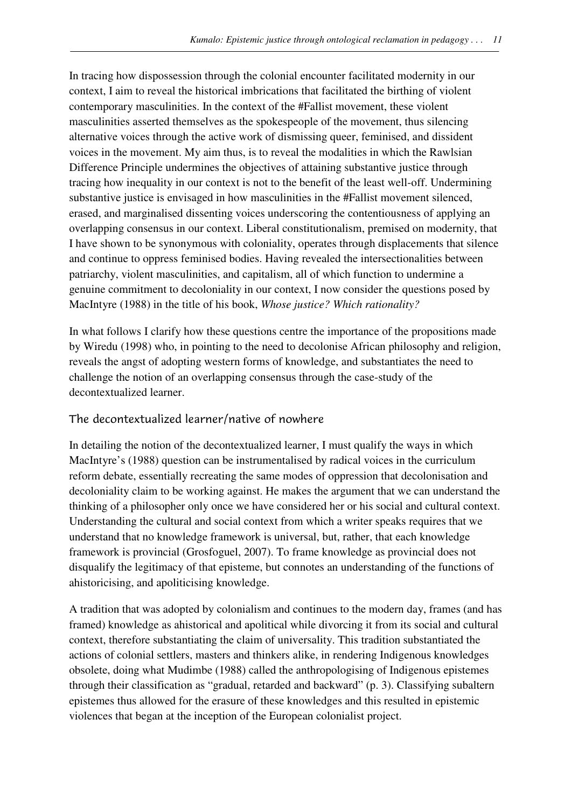In tracing how dispossession through the colonial encounter facilitated modernity in our context, I aim to reveal the historical imbrications that facilitated the birthing of violent contemporary masculinities. In the context of the #Fallist movement, these violent masculinities asserted themselves as the spokespeople of the movement, thus silencing alternative voices through the active work of dismissing queer, feminised, and dissident voices in the movement. My aim thus, is to reveal the modalities in which the Rawlsian Difference Principle undermines the objectives of attaining substantive justice through tracing how inequality in our context is not to the benefit of the least well-off. Undermining substantive justice is envisaged in how masculinities in the #Fallist movement silenced, erased, and marginalised dissenting voices underscoring the contentiousness of applying an overlapping consensus in our context. Liberal constitutionalism, premised on modernity, that I have shown to be synonymous with coloniality, operates through displacements that silence and continue to oppress feminised bodies. Having revealed the intersectionalities between patriarchy, violent masculinities, and capitalism, all of which function to undermine a genuine commitment to decoloniality in our context, I now consider the questions posed by MacIntyre (1988) in the title of his book, *Whose justice? Which rationality?*

In what follows I clarify how these questions centre the importance of the propositions made by Wiredu (1998) who, in pointing to the need to decolonise African philosophy and religion, reveals the angst of adopting western forms of knowledge, and substantiates the need to challenge the notion of an overlapping consensus through the case-study of the decontextualized learner.

#### The decontextualized learner/native of nowhere

In detailing the notion of the decontextualized learner, I must qualify the ways in which MacIntyre's (1988) question can be instrumentalised by radical voices in the curriculum reform debate, essentially recreating the same modes of oppression that decolonisation and decoloniality claim to be working against. He makes the argument that we can understand the thinking of a philosopher only once we have considered her or his social and cultural context. Understanding the cultural and social context from which a writer speaks requires that we understand that no knowledge framework is universal, but, rather, that each knowledge framework is provincial (Grosfoguel, 2007). To frame knowledge as provincial does not disqualify the legitimacy of that episteme, but connotes an understanding of the functions of ahistoricising, and apoliticising knowledge.

A tradition that was adopted by colonialism and continues to the modern day, frames (and has framed) knowledge as ahistorical and apolitical while divorcing it from its social and cultural context, therefore substantiating the claim of universality. This tradition substantiated the actions of colonial settlers, masters and thinkers alike, in rendering Indigenous knowledges obsolete, doing what Mudimbe (1988) called the anthropologising of Indigenous epistemes through their classification as "gradual, retarded and backward" (p. 3). Classifying subaltern epistemes thus allowed for the erasure of these knowledges and this resulted in epistemic violences that began at the inception of the European colonialist project.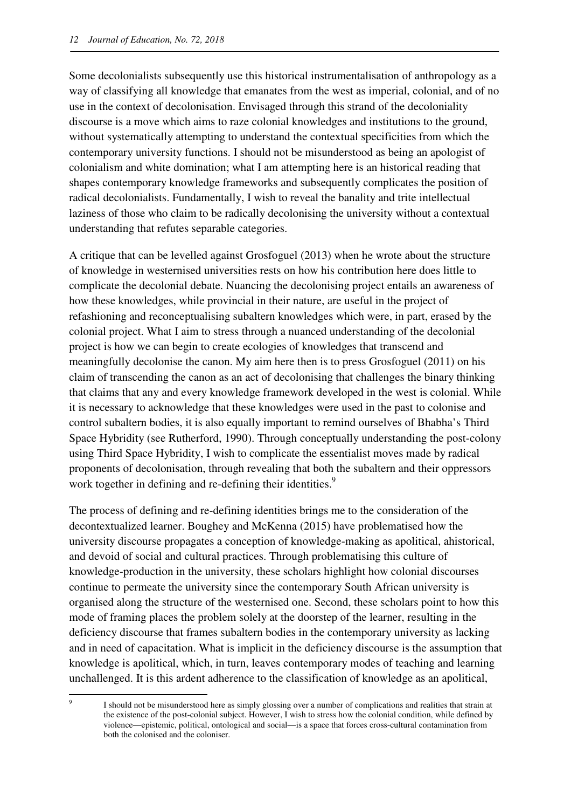Some decolonialists subsequently use this historical instrumentalisation of anthropology as a way of classifying all knowledge that emanates from the west as imperial, colonial, and of no use in the context of decolonisation. Envisaged through this strand of the decoloniality discourse is a move which aims to raze colonial knowledges and institutions to the ground, without systematically attempting to understand the contextual specificities from which the contemporary university functions. I should not be misunderstood as being an apologist of colonialism and white domination; what I am attempting here is an historical reading that shapes contemporary knowledge frameworks and subsequently complicates the position of radical decolonialists. Fundamentally, I wish to reveal the banality and trite intellectual laziness of those who claim to be radically decolonising the university without a contextual understanding that refutes separable categories.

A critique that can be levelled against Grosfoguel (2013) when he wrote about the structure of knowledge in westernised universities rests on how his contribution here does little to complicate the decolonial debate. Nuancing the decolonising project entails an awareness of how these knowledges, while provincial in their nature, are useful in the project of refashioning and reconceptualising subaltern knowledges which were, in part, erased by the colonial project. What I aim to stress through a nuanced understanding of the decolonial project is how we can begin to create ecologies of knowledges that transcend and meaningfully decolonise the canon. My aim here then is to press Grosfoguel (2011) on his claim of transcending the canon as an act of decolonising that challenges the binary thinking that claims that any and every knowledge framework developed in the west is colonial. While it is necessary to acknowledge that these knowledges were used in the past to colonise and control subaltern bodies, it is also equally important to remind ourselves of Bhabha's Third Space Hybridity (see Rutherford, 1990). Through conceptually understanding the post-colony using Third Space Hybridity, I wish to complicate the essentialist moves made by radical proponents of decolonisation, through revealing that both the subaltern and their oppressors work together in defining and re-defining their identities.<sup>9</sup>

The process of defining and re-defining identities brings me to the consideration of the decontextualized learner. Boughey and McKenna (2015) have problematised how the university discourse propagates a conception of knowledge-making as apolitical, ahistorical, and devoid of social and cultural practices. Through problematising this culture of knowledge-production in the university, these scholars highlight how colonial discourses continue to permeate the university since the contemporary South African university is organised along the structure of the westernised one. Second, these scholars point to how this mode of framing places the problem solely at the doorstep of the learner, resulting in the deficiency discourse that frames subaltern bodies in the contemporary university as lacking and in need of capacitation. What is implicit in the deficiency discourse is the assumption that knowledge is apolitical, which, in turn, leaves contemporary modes of teaching and learning unchallenged. It is this ardent adherence to the classification of knowledge as an apolitical,

l 9

I should not be misunderstood here as simply glossing over a number of complications and realities that strain at the existence of the post-colonial subject. However, I wish to stress how the colonial condition, while defined by violence—epistemic, political, ontological and social—is a space that forces cross-cultural contamination from both the colonised and the coloniser.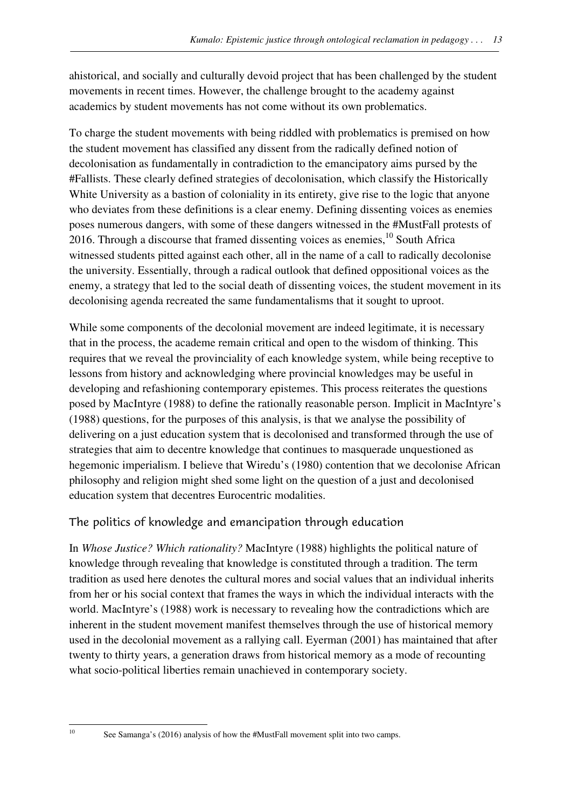ahistorical, and socially and culturally devoid project that has been challenged by the student movements in recent times. However, the challenge brought to the academy against academics by student movements has not come without its own problematics.

To charge the student movements with being riddled with problematics is premised on how the student movement has classified any dissent from the radically defined notion of decolonisation as fundamentally in contradiction to the emancipatory aims pursed by the #Fallists. These clearly defined strategies of decolonisation, which classify the Historically White University as a bastion of coloniality in its entirety, give rise to the logic that anyone who deviates from these definitions is a clear enemy. Defining dissenting voices as enemies poses numerous dangers, with some of these dangers witnessed in the #MustFall protests of 2016. Through a discourse that framed dissenting voices as enemies, $^{10}$  South Africa witnessed students pitted against each other, all in the name of a call to radically decolonise the university. Essentially, through a radical outlook that defined oppositional voices as the enemy, a strategy that led to the social death of dissenting voices, the student movement in its decolonising agenda recreated the same fundamentalisms that it sought to uproot.

While some components of the decolonial movement are indeed legitimate, it is necessary that in the process, the academe remain critical and open to the wisdom of thinking. This requires that we reveal the provinciality of each knowledge system, while being receptive to lessons from history and acknowledging where provincial knowledges may be useful in developing and refashioning contemporary epistemes. This process reiterates the questions posed by MacIntyre (1988) to define the rationally reasonable person. Implicit in MacIntyre's (1988) questions, for the purposes of this analysis, is that we analyse the possibility of delivering on a just education system that is decolonised and transformed through the use of strategies that aim to decentre knowledge that continues to masquerade unquestioned as hegemonic imperialism. I believe that Wiredu's (1980) contention that we decolonise African philosophy and religion might shed some light on the question of a just and decolonised education system that decentres Eurocentric modalities.

#### The politics of knowledge and emancipation through education

In *Whose Justice? Which rationality?* MacIntyre (1988) highlights the political nature of knowledge through revealing that knowledge is constituted through a tradition. The term tradition as used here denotes the cultural mores and social values that an individual inherits from her or his social context that frames the ways in which the individual interacts with the world. MacIntyre's (1988) work is necessary to revealing how the contradictions which are inherent in the student movement manifest themselves through the use of historical memory used in the decolonial movement as a rallying call. Eyerman (2001) has maintained that after twenty to thirty years, a generation draws from historical memory as a mode of recounting what socio-political liberties remain unachieved in contemporary society.

l

<sup>&</sup>lt;sup>10</sup> See Samanga's (2016) analysis of how the #MustFall movement split into two camps.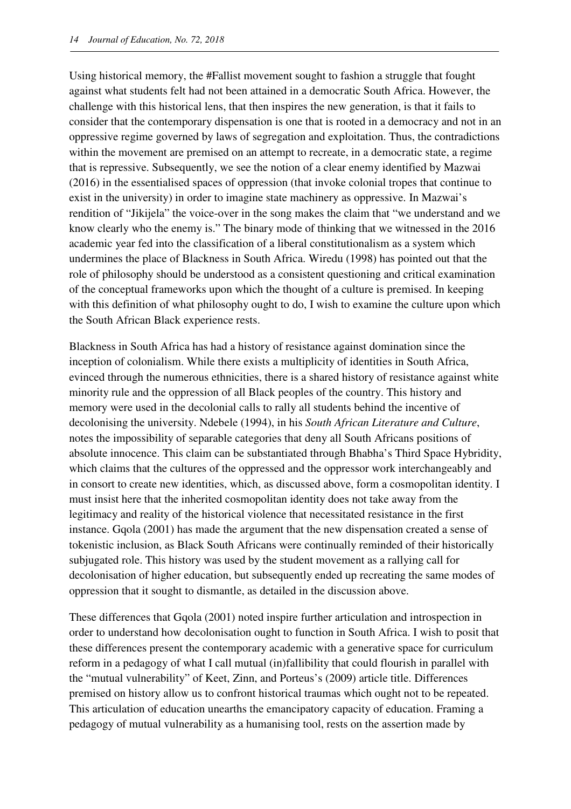Using historical memory, the #Fallist movement sought to fashion a struggle that fought against what students felt had not been attained in a democratic South Africa. However, the challenge with this historical lens, that then inspires the new generation, is that it fails to consider that the contemporary dispensation is one that is rooted in a democracy and not in an oppressive regime governed by laws of segregation and exploitation. Thus, the contradictions within the movement are premised on an attempt to recreate, in a democratic state, a regime that is repressive. Subsequently, we see the notion of a clear enemy identified by Mazwai (2016) in the essentialised spaces of oppression (that invoke colonial tropes that continue to exist in the university) in order to imagine state machinery as oppressive. In Mazwai's rendition of "Jikijela" the voice-over in the song makes the claim that "we understand and we know clearly who the enemy is." The binary mode of thinking that we witnessed in the 2016 academic year fed into the classification of a liberal constitutionalism as a system which undermines the place of Blackness in South Africa. Wiredu (1998) has pointed out that the role of philosophy should be understood as a consistent questioning and critical examination of the conceptual frameworks upon which the thought of a culture is premised. In keeping with this definition of what philosophy ought to do, I wish to examine the culture upon which the South African Black experience rests.

Blackness in South Africa has had a history of resistance against domination since the inception of colonialism. While there exists a multiplicity of identities in South Africa, evinced through the numerous ethnicities, there is a shared history of resistance against white minority rule and the oppression of all Black peoples of the country. This history and memory were used in the decolonial calls to rally all students behind the incentive of decolonising the university. Ndebele (1994), in his *South African Literature and Culture*, notes the impossibility of separable categories that deny all South Africans positions of absolute innocence. This claim can be substantiated through Bhabha's Third Space Hybridity, which claims that the cultures of the oppressed and the oppressor work interchangeably and in consort to create new identities, which, as discussed above, form a cosmopolitan identity. I must insist here that the inherited cosmopolitan identity does not take away from the legitimacy and reality of the historical violence that necessitated resistance in the first instance. Gqola (2001) has made the argument that the new dispensation created a sense of tokenistic inclusion, as Black South Africans were continually reminded of their historically subjugated role. This history was used by the student movement as a rallying call for decolonisation of higher education, but subsequently ended up recreating the same modes of oppression that it sought to dismantle, as detailed in the discussion above.

These differences that Gqola (2001) noted inspire further articulation and introspection in order to understand how decolonisation ought to function in South Africa. I wish to posit that these differences present the contemporary academic with a generative space for curriculum reform in a pedagogy of what I call mutual (in)fallibility that could flourish in parallel with the "mutual vulnerability" of Keet, Zinn, and Porteus's (2009) article title. Differences premised on history allow us to confront historical traumas which ought not to be repeated. This articulation of education unearths the emancipatory capacity of education. Framing a pedagogy of mutual vulnerability as a humanising tool, rests on the assertion made by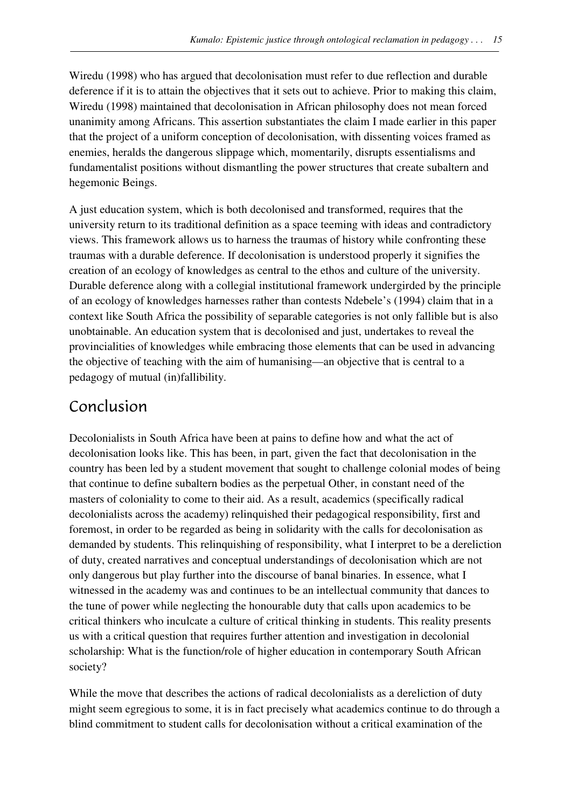Wiredu (1998) who has argued that decolonisation must refer to due reflection and durable deference if it is to attain the objectives that it sets out to achieve. Prior to making this claim, Wiredu (1998) maintained that decolonisation in African philosophy does not mean forced unanimity among Africans. This assertion substantiates the claim I made earlier in this paper that the project of a uniform conception of decolonisation, with dissenting voices framed as enemies, heralds the dangerous slippage which, momentarily, disrupts essentialisms and fundamentalist positions without dismantling the power structures that create subaltern and hegemonic Beings.

A just education system, which is both decolonised and transformed, requires that the university return to its traditional definition as a space teeming with ideas and contradictory views. This framework allows us to harness the traumas of history while confronting these traumas with a durable deference. If decolonisation is understood properly it signifies the creation of an ecology of knowledges as central to the ethos and culture of the university. Durable deference along with a collegial institutional framework undergirded by the principle of an ecology of knowledges harnesses rather than contests Ndebele's (1994) claim that in a context like South Africa the possibility of separable categories is not only fallible but is also unobtainable. An education system that is decolonised and just, undertakes to reveal the provincialities of knowledges while embracing those elements that can be used in advancing the objective of teaching with the aim of humanising—an objective that is central to a pedagogy of mutual (in)fallibility.

# Conclusion

Decolonialists in South Africa have been at pains to define how and what the act of decolonisation looks like. This has been, in part, given the fact that decolonisation in the country has been led by a student movement that sought to challenge colonial modes of being that continue to define subaltern bodies as the perpetual Other, in constant need of the masters of coloniality to come to their aid. As a result, academics (specifically radical decolonialists across the academy) relinquished their pedagogical responsibility, first and foremost, in order to be regarded as being in solidarity with the calls for decolonisation as demanded by students. This relinquishing of responsibility, what I interpret to be a dereliction of duty, created narratives and conceptual understandings of decolonisation which are not only dangerous but play further into the discourse of banal binaries. In essence, what I witnessed in the academy was and continues to be an intellectual community that dances to the tune of power while neglecting the honourable duty that calls upon academics to be critical thinkers who inculcate a culture of critical thinking in students. This reality presents us with a critical question that requires further attention and investigation in decolonial scholarship: What is the function/role of higher education in contemporary South African society?

While the move that describes the actions of radical decolonialists as a dereliction of duty might seem egregious to some, it is in fact precisely what academics continue to do through a blind commitment to student calls for decolonisation without a critical examination of the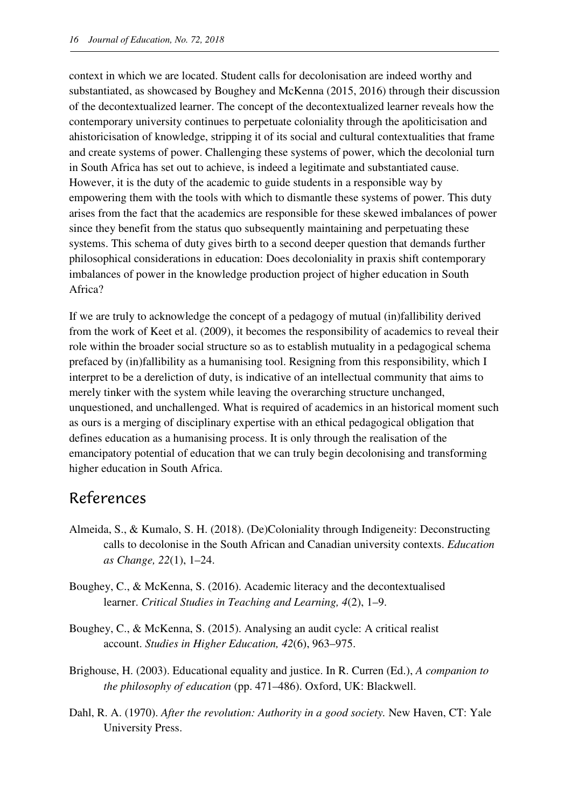context in which we are located. Student calls for decolonisation are indeed worthy and substantiated, as showcased by Boughey and McKenna (2015, 2016) through their discussion of the decontextualized learner. The concept of the decontextualized learner reveals how the contemporary university continues to perpetuate coloniality through the apoliticisation and ahistoricisation of knowledge, stripping it of its social and cultural contextualities that frame and create systems of power. Challenging these systems of power, which the decolonial turn in South Africa has set out to achieve, is indeed a legitimate and substantiated cause. However, it is the duty of the academic to guide students in a responsible way by empowering them with the tools with which to dismantle these systems of power. This duty arises from the fact that the academics are responsible for these skewed imbalances of power since they benefit from the status quo subsequently maintaining and perpetuating these systems. This schema of duty gives birth to a second deeper question that demands further philosophical considerations in education: Does decoloniality in praxis shift contemporary imbalances of power in the knowledge production project of higher education in South Africa?

If we are truly to acknowledge the concept of a pedagogy of mutual (in)fallibility derived from the work of Keet et al. (2009), it becomes the responsibility of academics to reveal their role within the broader social structure so as to establish mutuality in a pedagogical schema prefaced by (in)fallibility as a humanising tool. Resigning from this responsibility, which I interpret to be a dereliction of duty, is indicative of an intellectual community that aims to merely tinker with the system while leaving the overarching structure unchanged, unquestioned, and unchallenged. What is required of academics in an historical moment such as ours is a merging of disciplinary expertise with an ethical pedagogical obligation that defines education as a humanising process. It is only through the realisation of the emancipatory potential of education that we can truly begin decolonising and transforming higher education in South Africa.

### References

- Almeida, S., & Kumalo, S. H. (2018). (De)Coloniality through Indigeneity: Deconstructing calls to decolonise in the South African and Canadian university contexts. *Education as Change, 22*(1), 1–24.
- Boughey, C., & McKenna, S. (2016). Academic literacy and the decontextualised learner. *Critical Studies in Teaching and Learning, 4*(2), 1–9.
- Boughey, C., & McKenna, S. (2015). Analysing an audit cycle: A critical realist account. *Studies in Higher Education, 42*(6), 963–975.
- Brighouse, H. (2003). Educational equality and justice. In R. Curren (Ed.), *A companion to the philosophy of education* (pp. 471–486). Oxford, UK: Blackwell.
- Dahl, R. A. (1970). *After the revolution: Authority in a good society.* New Haven, CT: Yale University Press.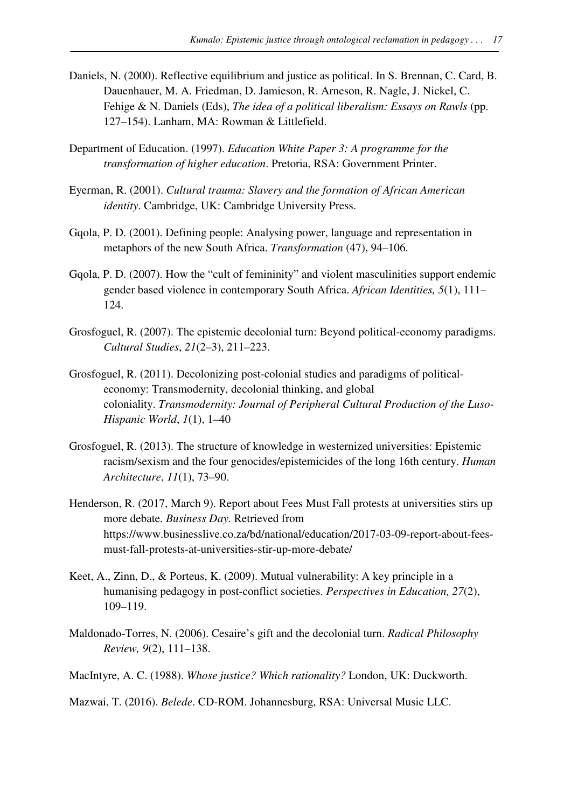- Daniels, N. (2000). Reflective equilibrium and justice as political. In S. Brennan, C. Card, B. Dauenhauer, M. A. Friedman, D. Jamieson, R. Arneson, R. Nagle, J. Nickel, C. Fehige & N. Daniels (Eds), *The idea of a political liberalism: Essays on Rawls* (pp. 127–154). Lanham, MA: Rowman & Littlefield.
- Department of Education. (1997). *Education White Paper 3: A programme for the transformation of higher education*. Pretoria, RSA: Government Printer.
- Eyerman, R. (2001). *Cultural trauma: Slavery and the formation of African American identity*. Cambridge, UK: Cambridge University Press.
- Gqola, P. D. (2001). Defining people: Analysing power, language and representation in metaphors of the new South Africa. *Transformation* (47), 94–106.
- Gqola, P. D. (2007). How the "cult of femininity" and violent masculinities support endemic gender based violence in contemporary South Africa. *African Identities, 5*(1), 111– 124.
- Grosfoguel, R. (2007). The epistemic decolonial turn: Beyond political-economy paradigms. *Cultural Studies*, *21*(2–3), 211–223.
- Grosfoguel, R. (2011). Decolonizing post-colonial studies and paradigms of politicaleconomy: Transmodernity, decolonial thinking, and global coloniality. *Transmodernity: Journal of Peripheral Cultural Production of the Luso-Hispanic World*, *1*(1), 1–40
- Grosfoguel, R. (2013). The structure of knowledge in westernized universities: Epistemic racism/sexism and the four genocides/epistemicides of the long 16th century. *Human Architecture*, *11*(1), 73–90.
- Henderson, R. (2017, March 9). Report about Fees Must Fall protests at universities stirs up more debate. *Business Day*. Retrieved from https://www.businesslive.co.za/bd/national/education/2017-03-09-report-about-feesmust-fall-protests-at-universities-stir-up-more-debate/
- Keet, A., Zinn, D., & Porteus, K. (2009). Mutual vulnerability: A key principle in a humanising pedagogy in post-conflict societies. *Perspectives in Education, 27*(2), 109–119.
- Maldonado-Torres, N. (2006). Cesaire's gift and the decolonial turn. *Radical Philosophy Review, 9*(2), 111–138.
- MacIntyre, A. C. (1988). *Whose justice? Which rationality?* London, UK: Duckworth.

Mazwai, T. (2016). *Belede*. CD-ROM. Johannesburg, RSA: Universal Music LLC.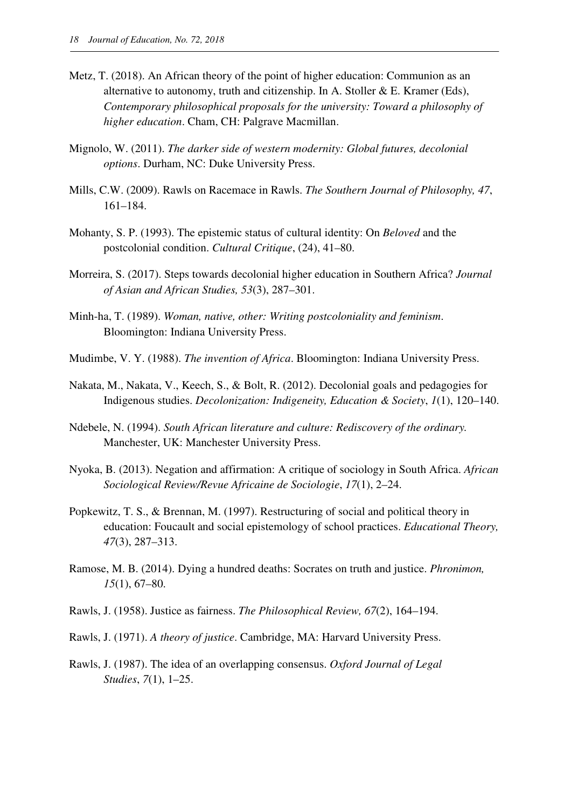- Metz, T. (2018). An African theory of the point of higher education: Communion as an alternative to autonomy, truth and citizenship. In A. Stoller  $&E$ . Kramer (Eds), *Contemporary philosophical proposals for the university: Toward a philosophy of higher education*. Cham, CH: Palgrave Macmillan.
- Mignolo, W. (2011). *The darker side of western modernity: Global futures, decolonial options*. Durham, NC: Duke University Press.
- Mills, C.W. (2009). Rawls on Racemace in Rawls. *The Southern Journal of Philosophy, 47*, 161–184.
- Mohanty, S. P. (1993). The epistemic status of cultural identity: On *Beloved* and the postcolonial condition. *Cultural Critique*, (24), 41–80.
- Morreira, S. (2017). Steps towards decolonial higher education in Southern Africa? *Journal of Asian and African Studies, 53*(3), 287–301.
- Minh-ha, T. (1989). *Woman, native, other: Writing postcoloniality and feminism*. Bloomington: Indiana University Press.
- Mudimbe, V. Y. (1988). *The invention of Africa*. Bloomington: Indiana University Press.
- Nakata, M., Nakata, V., Keech, S., & Bolt, R. (2012). Decolonial goals and pedagogies for Indigenous studies. *Decolonization: Indigeneity, Education & Society*, *1*(1), 120–140.
- Ndebele, N. (1994). *South African literature and culture: Rediscovery of the ordinary.*  Manchester, UK: Manchester University Press.
- Nyoka, B. (2013). Negation and affirmation: A critique of sociology in South Africa. *African Sociological Review/Revue Africaine de Sociologie*, *17*(1), 2–24.
- Popkewitz, T. S., & Brennan, M. (1997). Restructuring of social and political theory in education: Foucault and social epistemology of school practices. *Educational Theory, 47*(3), 287–313.
- Ramose, M. B. (2014). Dying a hundred deaths: Socrates on truth and justice. *Phronimon, 15*(1), 67–80.
- Rawls, J. (1958). Justice as fairness. *The Philosophical Review, 67*(2), 164–194.
- Rawls, J. (1971). *A theory of justice*. Cambridge, MA: Harvard University Press.
- Rawls, J. (1987). The idea of an overlapping consensus. *Oxford Journal of Legal Studies*, *7*(1), 1–25.